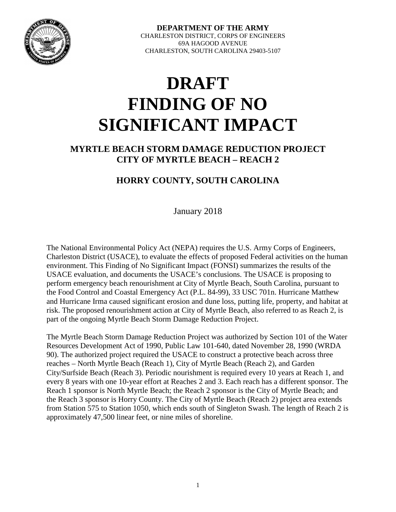

**DEPARTMENT OF THE ARMY** CHARLESTON DISTRICT, CORPS OF ENGINEERS 69A HAGOOD AVENUE CHARLESTON, SOUTH CAROLINA 29403-5107

## **DRAFT FINDING OF NO SIGNIFICANT IMPACT**

## **MYRTLE BEACH STORM DAMAGE REDUCTION PROJECT CITY OF MYRTLE BEACH – REACH 2**

## **HORRY COUNTY, SOUTH CAROLINA**

January 2018

The National Environmental Policy Act (NEPA) requires the U.S. Army Corps of Engineers, Charleston District (USACE), to evaluate the effects of proposed Federal activities on the human environment. This Finding of No Significant Impact (FONSI) summarizes the results of the USACE evaluation, and documents the USACE's conclusions. The USACE is proposing to perform emergency beach renourishment at City of Myrtle Beach, South Carolina, pursuant to the Food Control and Coastal Emergency Act (P.L. 84-99), 33 USC 701n. Hurricane Matthew and Hurricane Irma caused significant erosion and dune loss, putting life, property, and habitat at risk. The proposed renourishment action at City of Myrtle Beach, also referred to as Reach 2, is part of the ongoing Myrtle Beach Storm Damage Reduction Project.

The Myrtle Beach Storm Damage Reduction Project was authorized by Section 101 of the Water Resources Development Act of 1990, Public Law 101-640, dated November 28, 1990 (WRDA 90). The authorized project required the USACE to construct a protective beach across three reaches – North Myrtle Beach (Reach 1), City of Myrtle Beach (Reach 2), and Garden City/Surfside Beach (Reach 3). Periodic nourishment is required every 10 years at Reach 1, and every 8 years with one 10-year effort at Reaches 2 and 3. Each reach has a different sponsor. The Reach 1 sponsor is North Myrtle Beach; the Reach 2 sponsor is the City of Myrtle Beach; and the Reach 3 sponsor is Horry County. The City of Myrtle Beach (Reach 2) project area extends from Station 575 to Station 1050, which ends south of Singleton Swash. The length of Reach 2 is approximately 47,500 linear feet, or nine miles of shoreline.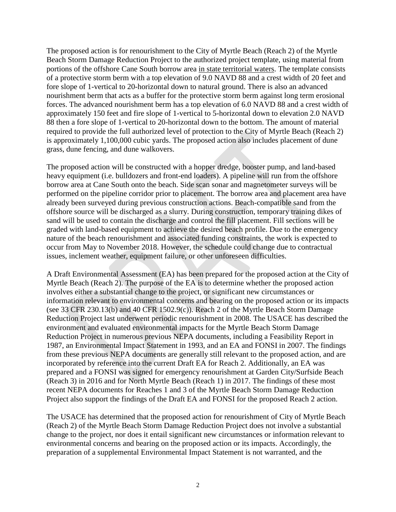The proposed action is for renourishment to the City of Myrtle Beach (Reach 2) of the Myrtle Beach Storm Damage Reduction Project to the authorized project template, using material from portions of the offshore Cane South borrow area in state territorial waters. The template consists of a protective storm berm with a top elevation of 9.0 NAVD 88 and a crest width of 20 feet and fore slope of 1-vertical to 20-horizontal down to natural ground. There is also an advanced nourishment berm that acts as a buffer for the protective storm berm against long term erosional forces. The advanced nourishment berm has a top elevation of 6.0 NAVD 88 and a crest width of approximately 150 feet and fire slope of 1-vertical to 5-horizontal down to elevation 2.0 NAVD 88 then a fore slope of 1-vertical to 20-horizontal down to the bottom. The amount of material required to provide the full authorized level of protection to the City of Myrtle Beach (Reach 2) is approximately 1,100,000 cubic yards. The proposed action also includes placement of dune grass, dune fencing, and dune walkovers.

The proposed action will be constructed with a hopper dredge, booster pump, and land-based heavy equipment (i.e. bulldozers and front-end loaders). A pipeline will run from the offshore borrow area at Cane South onto the beach. Side scan sonar and magnetometer surveys will be performed on the pipeline corridor prior to placement. The borrow area and placement area have already been surveyed during previous construction actions. Beach-compatible sand from the offshore source will be discharged as a slurry. During construction, temporary training dikes of sand will be used to contain the discharge and control the fill placement. Fill sections will be graded with land-based equipment to achieve the desired beach profile. Due to the emergency nature of the beach renourishment and associated funding constraints, the work is expected to occur from May to November 2018. However, the schedule could change due to contractual issues, inclement weather, equipment failure, or other unforeseen difficulties.

A Draft Environmental Assessment (EA) has been prepared for the proposed action at the City of Myrtle Beach (Reach 2). The purpose of the EA is to determine whether the proposed action involves either a substantial change to the project, or significant new circumstances or information relevant to environmental concerns and bearing on the proposed action or its impacts (see 33 CFR 230.13(b) and 40 CFR 1502.9(c)). Reach 2 of the Myrtle Beach Storm Damage Reduction Project last underwent periodic renourishment in 2008. The USACE has described the environment and evaluated environmental impacts for the Myrtle Beach Storm Damage Reduction Project in numerous previous NEPA documents, including a Feasibility Report in 1987, an Environmental Impact Statement in 1993, and an EA and FONSI in 2007. The findings from these previous NEPA documents are generally still relevant to the proposed action, and are incorporated by reference into the current Draft EA for Reach 2. Additionally, an EA was prepared and a FONSI was signed for emergency renourishment at Garden City/Surfside Beach (Reach 3) in 2016 and for North Myrtle Beach (Reach 1) in 2017. The findings of these most recent NEPA documents for Reaches 1 and 3 of the Myrtle Beach Storm Damage Reduction Project also support the findings of the Draft EA and FONSI for the proposed Reach 2 action.

The USACE has determined that the proposed action for renourishment of City of Myrtle Beach (Reach 2) of the Myrtle Beach Storm Damage Reduction Project does not involve a substantial change to the project, nor does it entail significant new circumstances or information relevant to environmental concerns and bearing on the proposed action or its impacts. Accordingly, the preparation of a supplemental Environmental Impact Statement is not warranted, and the